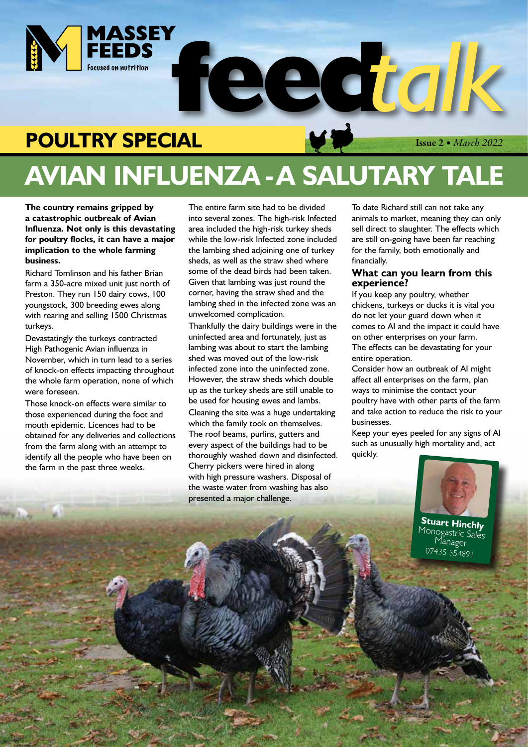

# **POULTRY SPECIAL**

Issue 2 *• March 2022*

# **AVIAN INFLUENZA - A SALUTARY TALE**

**The country remains gripped by a catastrophic outbreak of Avian Influenza. Not only is this devastating for poultry flocks, it can have a major implication to the whole farming business.**

Richard Tomlinson and his father Brian farm a 350-acre mixed unit just north of Preston. They run 150 dairy cows, 100 youngstock, 300 breeding ewes along with rearing and selling 1500 Christmas turkeys.

Devastatingly the turkeys contracted High Pathogenic Avian influenza in November, which in turn lead to a series of knock-on effects impacting throughout the whole farm operation, none of which were foreseen.

Those knock-on effects were similar to those experienced during the foot and mouth epidemic. Licences had to be obtained for any deliveries and collections from the farm along with an attempt to identify all the people who have been on the farm in the past three weeks.

**Mille Suite** 

The entire farm site had to be divided into several zones. The high-risk Infected area included the high-risk turkey sheds while the low-risk Infected zone included the lambing shed adjoining one of turkey sheds, as well as the straw shed where some of the dead birds had been taken. Given that lambing was just round the corner, having the straw shed and the lambing shed in the infected zone was an unwelcomed complication.

Thankfully the dairy buildings were in the uninfected area and fortunately, just as lambing was about to start the lambing shed was moved out of the low-risk infected zone into the uninfected zone. However, the straw sheds which double up as the turkey sheds are still unable to be used for housing ewes and lambs. Cleaning the site was a huge undertaking which the family took on themselves. The roof beams, purlins, gutters and every aspect of the buildings had to be thoroughly washed down and disinfected. Cherry pickers were hired in along with high pressure washers. Disposal of the waste water from washing has also presented a major challenge.

To date Richard still can not take any animals to market, meaning they can only sell direct to slaughter. The effects which are still on-going have been far reaching for the family, both emotionally and financially.

#### **What can you learn from this experience?**

If you keep any poultry, whether chickens, turkeys or ducks it is vital you do not let your guard down when it comes to AI and the impact it could have on other enterprises on your farm. The effects can be devastating for your entire operation.

Consider how an outbreak of AI might affect all enterprises on the farm, plan ways to minimise the contact your poultry have with other parts of the farm and take action to reduce the risk to your businesses.

Keep your eyes peeled for any signs of AI such as unusually high mortality and, act quickly.



**Stuart Hinchly** Monogastric Sales<br>Manager 07435 554891